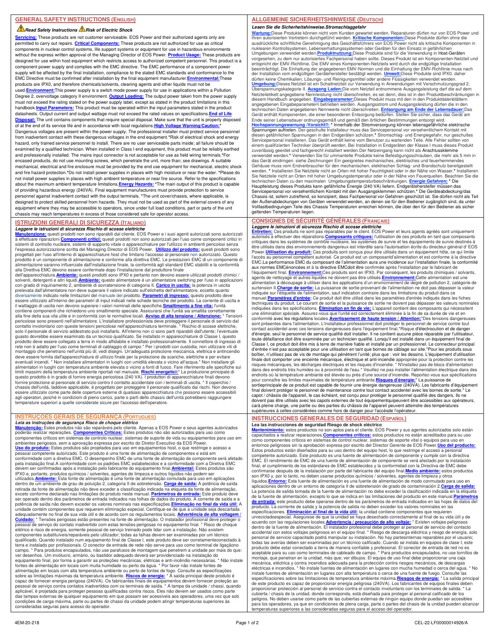### **Read Safety Instructions A Risk of Electric Shock**

**Servicing:** These products are not customer serviceable. EOS Power and their authorized agents only are permitted to carry out repairs. **Critical Components:** These products are not authorized for use as critical components in nuclear control systems, life support systems or equipment for use in hazardous environments without the express written approval of the Managing Director of EOS Power. **Product Usage:** These products are designed for use within host equipment which restricts access to authorized competent personnel. This product is a component power supply and complies with the EMC directive. The EMC performance of a component power supply will be affected by the final installation, compliance to the stated EMC standards and conformance to the EMC Directive must be confirmed after installation by the final equipment manufacturer.**Environmental:**These products are IPX0, and therefore chemicals/solvents, cleaning agents and other liquids must not be used.**Environment:**This power supply is a switch mode power supply for use in applications within a Pollution Degree 2, overvoltage category II environment. **Output Loading:** The output power taken from the power supply must not exceed the rating stated on the power supply label, except as stated in the product limitations in this handbook.<mark>Input Parameters:</mark> This product must be operated within the input parameters stated in the product<br>datasheets. Output current and output wattage must not exceed the rated values on specifications.<mark>End of Life</mark> Disposal: The unit contains components that require special disposal. Make sure that the unit is properly dispo of at the end of its service life and in accordance with local regulations. High Voltage Warning/Cau Dangerous voltages are present within the power supply. The professional installer must protect service personnel from inadvertent contact with these dangerous voltages in the end equipment.**\***Risk of electrical shock and energy hazard, only trained service personnel to install. There are no user serviceable parts inside; all failure should be examined by a qualified technician. When installed in Class I end equipment, this product must be reliably earthed and professionally installed. The mains input connector is not acceptable for use as field wiring terminals.**\***For encased products, do not use mounting screws, which penetrate the unit, more than; see drawings. A suitable mechanical, electrical and fire enclosure must be provided by the end use equipment for mechanical, electric shock and fire hazard protection.**\***Do not install power supplies in places with high moisture or near the water. **\***Please do not install power supplies in places with high ambient temperature or near fire source. Refer to the specifications about the maximum ambient temperature limitations.**Energy Hazards: \***The main output of this product is capable of providing hazardous energy (240VA). Final equipment manufacturers must provide protection to service personnel against inadvertent contact with the output terminals. **\***The unit cover/chassis, where applicable, is designed to protect skilled personnel from hazards. They must not be used as part of the external covers of any equipment where they may be accessible to operators, since under full load conditions, part or parts of the unit chassis may reach temperatures in excess of those considered safe for operator access.

# **ISTRUZIONI GENERALI DI SICUREZZA (ITALIANO)**

**Leggere le istruzioni di sicurezza Rischio di scosse elettriche**<br><mark>Manutenzione:</mark> questi prodotti non sono riparabili dal cliente. EOS Power e i suoi agenti autorizzati sono autorizzati<br>a effettuare riparazioni.<u>Componenti</u> sistemi di controllo nucleare, sistemi di supporto vitale o apparecchiature per l'utilizzo in ambienti pericolosi senza<br>l'espressa autorizzazione scritta del Managing Director di EOS Power. **Utilizzo del prodotto:** questi progettati per l'uso all'interno di apparecchiature host che limitano l'accesso al personale non autorizzato. Questo prodotto è un componente di alimentazione e conforme alla direttiva EMC. Le prestazioni EMC di un componente di<br>alimentazione saranno influenzate dall'installazione finale, la conformità agli standard EMC stabiliti e la co alla Direttiva EMC devono essere confermate dopo l'installazione dal produttore finale dell'apparecchiatura.**Ambiente:** questi prodotti sono IPX0 e pertanto non devono essere utilizzati prodotti chimici /

solventi, detergenti e altri liquidi.**Ambiente:** questo alimentatore è un alimentatore switching per l'uso in applicazioni con grado di inquinamento 2, ambiente di sovratensione di categoria II. <mark>Carico in uscita:</mark> la potenza in uscita<br>prelevata dall'alimentatore non deve superare il valore indicato sull'etichetta dell'alimentatore, eccetto qu diversamente indicato nelle limitazioni del manuale del prodotto. <mark>Parametri di ingresso:</mark> questo prodotto deve<br>essere utilizzato all'interno dei parametri di input indicati nelle schede tecniche del prodotto. La corrente il wattaggio di uscita non devono superare i valori nominali delle specifiche.**Smaltimento a fine vita:** l'unità contiene componenti che richiedono uno smaltimento speciale. Assicurarsi che l'unità sia smaltita correttamente<br>alla fine della sua vita utile e in conformità con le normative locali. <u>Avviso di alta tensione / Attenzione:</u> guasto dovrebbe essere esaminato da un tecnico qualificato. Se installato in apparecchiature di Classe I, questo<br>prodotto deve essere collegato a terra in modo affidabile e installato professionalmente. Il connettore di in rete non è adatto per l'uso come terminali di cablaggio di campo.\* Per i prodotti con custodia, non utilizzare viti di<br>montaggio che penetrano nell'unità più di; vedi disegni. Un'adeguata protezione meccanica, elettrica e eventuali incendi. \* Non installare alimentatori in luoghi con umidità elevata o vicino all'acqua.\* Non installare gli<br>alimentatori in luoghi con temperatura ambiente elevata o vicino a fonti di fuoco. Fare riferimento all questo prodotto è in grado di fornire energia pericolosa (240 VA). I produttori di apparecchiature finali devono fornire protezione al personale di servizio contro il contatto accidentale con i terminali di uscita. \* Il coperchio / chassis dell'unità, laddove applicabile, è progettato per proteggere il personale qualificato dai rischi. Non devono<br>essere utilizzate come parte delle coperture esterne di qualsiasi apparecchiatura che possono essere acce agli operatori, poiché in condizioni di pieno carico, parte o parti dello chassis dell'unità potrebbero raggiungere temperature superiori a quelle considerate sicure per l'accesso dell'operatore.

# **INSTRUÇÕES GERAIS DE SEGURANÇA (PORTUGUES)**

*Leia as instruções de segurança Risco de choque elétrico*<br><u>Manutencão:</u> Estes produtos não são reparáveis pelo cliente. Apenas a EOS Power e seus agentes autorizados<br>poderão realizar reparações. Componentes Críticos: Este ambientes perigosos, sem a aprovação expressa por escrito do Diretor Executivo da EOS Power.<br><mark>Uso do produto:</mark> Estes produtos são projetados para uso em equipamentos host, o que restringe o acesso a pessoal competente autorizado. Este produto é uma fonte de alimentação de componentes e está em conformidade com a diretiva EMC. O desempenho EMC de uma fonte de alimentação de componente será afetado pela instalação final.A conformidade com os padrões EMC estabelecidos e a conformidade com a Diretiva EMC devem ser confirmadas após a instalação pelo fabricante do equipamento final.<mark>Ambiental:</mark> Estes produtos são<br>IPX0 e, portanto, produtos químicos / solventes, agentes de limpeza e outros líquidos não podem ser utilizados.<mark>Ambiente:</mark> Esta fonte de alimentação é uma fonte de alimentação comutada para uso em aplicações<br>dentro de um ambiente de grau de poluição 2, categoria II de sobretensão. <mark>Carga de saída:</mark> A potência de saída retirada da fonte de alimentação não deve exceder a classificação indicada na etiqueta da fonte de alimentação, exceto conforme declarado nas limitações do produto neste manual. **Parâmetros de entrada:** Este produto deve ser operado dentro dos parâmetros de entrada indicados nas folhas de dados do produto. A corrente de saída e a potência de saída não devem exceder os valores nominais nas especificações.**Eliminação no final da vida útil:** A unidade contém componentes que requerem eliminação especial. Certifique-se de que a unidade seja descartada<br>adequadamente no final de sua vida útil e de acordo com os regulamentos locais. <mark>Advertência de alta voltagem</mark> / **Cuidado:** \* Tensões perigosas estão presentes na fonte de alimentação. O instalador profissional deve proteger o pessoal de serviço do contato inadvertido com estas tensões perigosas no equipamento final. \* Risco de choque elétrico e risco de energia, somente pessoal de serviço treinado pode lidar com a instalação. Não existem componentes substituíveis/reparáveis pelo utilizador; todas as falhas devem ser examinadas por um técnico qualificado. Quando instalado num equipamento final de Classe I, este produto deve ser corretamenteconectado à terra e instalado por profissionais. O conector de entrada de rede não serve para uso como terminal de ligaçãono campo. \* Para produtos encapsulados, não use parafusos de montagem que penetrem a unidade por mais do que: ver desenhos. Um invólucro, armário, ou bastidor adequado deverá ser providenciado na instalação do equipamento final, por forma a garantir as proteções mecânicas, elétricas e anti-incêndio necessárias. \* Não instale<br>fontes de alimentação em locais com muita humidade ou perto da água. \* Por favor não instale fontes de alimentação em locais com alta temperatura ambiente ou perto de fontes de fogo. Consulte as especificações sobre as limitações máximas da temperatura ambiente. <mark>Riscos de energia:</mark> \* A saída principal deste produto é<br>capaz de fornecer energia perigosa (240VA). Os fabricantes finais de equipamentos devem fornecer proteção ao pessoal de serviço contra contatos inadvertidos com os terminais de saída. \* A tampa da unidade / chassi, quando aplicável, é projetada para proteger pessoas qualificadas contra riscos. Eles não devem ser usados como parte das tampas externas de qualquer equipamento em que possam ser acessíveis aos operadores, uma vez que sob condições de carga máxima, parte ou partes do chassi da unidade podem atingir temperaturas superiores às consideradas seguras para acesso do operador.

# **ALLGEMEINE SICHERHEITSHINWEISE (DEUTSCH)**

**Lesen Sie die Sicherheitshinweise.Stromschlaggefahr** <mark>Wartung:</mark>Diese Produkte können nicht vom Kunden gewartet werden. Reparaturen dürfen nur von EOS Power und<br>ihren autorisierten Vertretern durchgeführt werden. <u>Kritische Komponenten:</u>Diese Produkte dürfen ohne die<br>ausdrück

nuklearen Kontrollsystemen, Lebenserhaltungssystemen oder Geräten für den Einsatz in gefährlichen<br>Umgebungen verwendet werden.P<mark>roduktnutzung</mark>:Diese Produkte sind für die Verwendung in Host-Geräten<br>vorgesehen, zu dem nur a entspricht der EMV-Richtlinie. Die EMV eines Komponenten-Netzteils wird durch die endgütige Installation<br>beeinträchtigt. Die Einhaltung der angegebenen EMV-Normen und die Einhaltung der EMV-Richtlinie muss nach<br>der Instal Überspannungskategorie II. <u>Ausgang Laden:</u>Die vom Netzteil entnommene Ausgangsleistung darf die auf dem<br>Netzteiletikett angegebene Nennleistung nicht überschreiten, es sei denn, dies ist in den Produktbeschränkungen in diesem Handbuch angegeben. <mark>Eingabeparameter:</mark>Dieses Produkt muss mit den in den Produktdatenblättern<br>angegebenen Eingabeparametern betrieben werden. Ausgangsstrom und Ausgangsleistung dürfen die in den technischen Daten angegebenen Nennwerte nicht überschreiten. **Entsorgung am Ende der Lebensdauer**: Das<br>Gerät enthält Komponenten, die einer besonderen Entsorgung bedürfen. Stellen Sie sicher, dass das Gerät am<br>Ende seiner zuverlässig geerdet und fachgerecht installiert werden.Der Netzeingang kann nicht als Anschlussklemme verwendet werden.**\*** Verwenden Sie für ummantelte Produkte keine Befestigungsschrauben, die mehr als 5 mm in das Gerät eindringen. siehe Zeichnungen Ein geeignetes mechanisches, elektrisches und feuerhemmendes Gehäuse muss vom Endverbraucher für den mechanischen, elektrischen Schlag- und Brandschutz bereitgestellt<br>werden. \* Installieren Sie Netzteile nicht an Orten mit hoher Feuchtigkeit oder in der Nähe von Wasser.\* Installiere Sie Netzteile nicht an Orten mit hoher Umgebungstemperatur oder in der Nähe von Feuerquellen. Beachten Sie die<br>technischen Daten zu den maximalen Umgebungstemperaturbeschränkungen. <mark>Energie Gefahren: \*</mark> Die<br>Hauptleistung Servicepersonal vor versehentlichem Kontakt mit den Ausgangsklemmen schützen.\* Die Geräteabdeckung/das<br>Chassis ist, sofern zutreffend, so konzipiert, dass Fachpersonal vor Gefahren geschützt ist. Sie dürfen nicht als Teil der Außenabdeckungen von Geräten verwendet werden, an denen sie für den Bediener zugänglich sind, da unter Volllastbedingungen Teile des Chassis Temperaturen erreichen können, die über den für den Bediener als sicher geltenden Temperaturen liegen.

### **CONSIGNES DE SÉCURITÉ GÉNÉRALES (FRANÇAIS) Leggere le istruzioni di sicurezza Rischio di scosse elettriche**

Entretien: Ces produits ne sont pas réparables par le client. EOS Power et leurs agents agréés sont uniquement<br>autorisés à effectuer des réparations.Composants critiques: l'utilisation de ces produits en tant que composant critiques dans les systèmes de contrôle nucléaire, les systèmes de survie et les équipements de survie destinés à être utilisés dans des environnements dangereux est interdite sans l'autorisation écrite du directeur général d' EOS<br>Power.**Utilisation du produit:** Ces produits sont conçus pour être utilisés dans un équipement hôte, ce q l'accès au personnel compétent autorisé. Ce produit est un composantd'alimentation et est conforme à la directive EMC.La performance EMC du composant de l'alimentation aura une incidence sur l'installation finale, la conformité aux normes EMCénoncées et à la directive EMCdoit être confirmée après l'installation par le fabricant de l'équipement final. <u>Environnement:</u>Ces produits sont en IPX0. Par conséquent, les produits chimiques / solvants,<br>agents de nettoyage et autres liquides ne doivent pas être utilisés.<u>Environnement:</u>Cette alimentation est u alimentation à découpage à utiliser dans les applications d'un environnement de degré de pollution 2, catégorie de<br>surtension II. <mark>Charge de sortie:</mark> La puissance de sortie provenant de l'alimentation ne doit pas dépasser manuel.**Paramètres d'entrée:** Ce produit doit être utilisé dans les paramètres d'entrée indiqués dans les fiches techniques du produit. Le courant de sortie et la puissance de sortie ne doivent pas dépasser les valeurs nominales indiquées dans les spécifications. **Élimination en fin de vie:** L'appareil contient des composants qui nécessitent une élimination spéciale. Assurez-vous que l'unité est correctement éliminée à la fin de sa durée de vie et en<br>conformité avec les régulations locales.<mark>Avertissement de haute tension / Attention:</mark>\*Des tensions dangereuses sont présentes dans l'alimentation. L'installateur professionnel doit protéger le personnel de service contre tout<br>contact accidentel avec ces tensions dangereuses dans l'équipement final.\*Risque d'électrocution et de dang d'énergie, seul le personnel de service qualifié doit installer. Il ne contient aucune pièce réparable par l'utilisateur,<br>toute défaillance doit être examinée par un technicien qualifié. Lorsqu'il est installé dans un équi Classe I, ce produit doit être mis à terre de manière fiable et installé par un professionnel. Le connecteur principal d'entrée n'est pas acceptable pour une utilisation en tant que bornes de câblage sur site.\*Pour les produits sous<br>boîtier, n'utilisez pas de vis de montage qui pénètrent l'unité; plus que : voir les dessins. L'équipement d finale doit comporter une enceinte mécanique, électrique et anti-incendie appropriée pour la protection contre les<br>risques mécaniques, les décharges électriques et les risques d'incendie. \* N'installez pas de blocs d'alime endroits où la température ambiante est élevée ou près d'une source d'incendie. Reportez-vous aux spécifications<br>pour connaître les limites maximales de température ambiante. <mark>Risques d'énergie: "</mark> La puissance de<br>sortiepr doivent pas être utilisés avec les capots externes de tout équipementquipeuvent être accessibles aux opérateurs, carà pleine charge, une partie ou des parties du châssis de l'appareil peuvent atteindre des températures supérieures à celles considérées comme hors de danger pour l'accèsde l'opérateur.

# **INSTRUCCIONES GENERALES DE SEGURIDAD (ESPAÑOL)**

**Lea las instrucciones de seguridad Riesgo de shock eléctrico**<br><mark>Mantenimiento:</mark> estos productos no son aptos para el cliente. EOS Power y sus agentes autorizados solo están<br>capacitados a realizar reparaciones.<u>Componentes </u> como componentes críticos en sistemas de control nuclear, sistemas de soporte vital o equipos para uso en entornos peligrosos sin la aprobación expresa por escrito del Director Gerente de EOS Power.<mark>Uso del producto:</mark><br>Estos productos están diseñados para su uso dentro del equipo host, lo que restringe el acceso a personal competente autorizado. Este producto es una fuente de alimentación de componente y cumple con la directiva EMC. El rendimiento de EMC de una fuente de alimentación de componente se verá afectado por la instalación final, el cumplimiento de los estándares de EMC establecidos y la conformidad con la Directiva de EMC debe<br>confirmarse después de la instalación por parte del fabricante del equipo final.<mark>Medio ambiente:</mark> estos productos<br>s líquidos.<mark>Entorno:</mark> Esta fuente de alimentación es una fuente de alimentación de modo conmutado para uso en<br>aplicaciones dentro de un entorno de categoría II de sobretensión de grado de contaminación 2.<mark>Carga de salida:</mark> La potencia de salida tomada de la fuente de alimentación no debe exceder la clasificación indicada en la etiqueta de la fuente de alimentación, excepto lo que se indica en las limitaciones del producto en este manual.<mark>Parámetros</mark><br><mark>de entrada:</mark> este producto debe operarse dentro de los parámetros de entrada indicados en las hojas de da producto. La corriente de salida y la potencia de salida no deben exceder los valores nominales en las especificaciones. **Eliminación al final de la vida útil:** la unidad contiene componentes que requieren unrecicladoespecial. Asegúrese de que la unidad se haya desechado correctamente al final de su vida útil y de acuerdo con las regulaciones locales.<mark>Advertencia / precaución de alto voltaje:</mark> \* Existen voltajes peligrosos<br>dentro de la fuente de alimentación. El instalador profesional debe proteger al personal de servicio del contac todas las averías deben ser examinadas por un técnico calificado. Cuando se instala en equipos de clase I, este producto debe estar conectado a tierra de manera confiable y profesional. El conector de entrada de red no es aceptable para su uso como terminales de cableado de campo. \* Para productos encapsulados, no use tornillos de montaje, que penetran en la unidad, más que; ver dibujos. El equipo de uso final debe proporcionar una caja mecánica, eléctrica y contra incendios adecuada para la protección contra riesgos mecánicos, de descargas eléctricas e incendios. \* No instale fuentes de alimentación en lugares con mucha humedad o cerca del agua. \* No instale fuentes de alimentación en lugares con alta temperatura o cerca de una fuente de fuego. Consulte las<br>especificaciones sobre las limitaciones de temperatura ambiente máxima. <mark>Riesgos de energía:</mark> \* La salida princip peligros. No deben usarse como parte de las cubiertas externas de ningún equipo donde puedan ser accesibles para los operadores, ya que en condiciones de plena carga, parte o partes del chasis de la unidad pueden alcanzar eraturas superiores a las consideradas seguras para el acceso del operador.